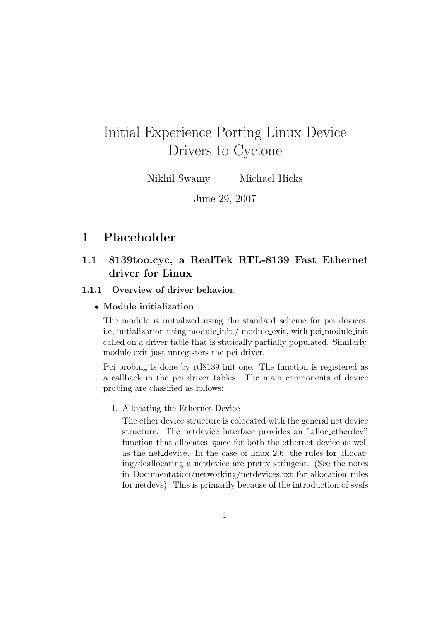# Initial Experience Porting Linux Device Drivers to Cyclone

Nikhil Swamy Michael Hicks

June 29, 2007

# 1 Placeholder

# 1.1 8139too.cyc, a RealTek RTL-8139 Fast Ethernet driver for Linux

#### 1.1.1 Overview of driver behavior

#### • Module initialization

The module is initialized using the standard scheme for pci devices; i.e, initialization using module init / module exit, with pci module init called on a driver table that is statically partially populated. Similarly, module exit just unregisters the pci driver.

Pci probing is done by rtl8139 init one. The function is registered as a callback in the pci driver tables. The main components of device probing are classified as follows:

#### 1. Allocating the Ethernet Device

The ether device structure is colocated with the general net device structure. The netdevice interface provides an "alloc etherdev" function that allocates space for both the ethernet device as well as the net device. In the case of linux 2.6, the rules for allocating/deallocating a netdevice are pretty stringent. (See the notes in Documentation/networking/netdevices.txt for allocation rules for netdevs). This is primarily because of the introduction of sysfs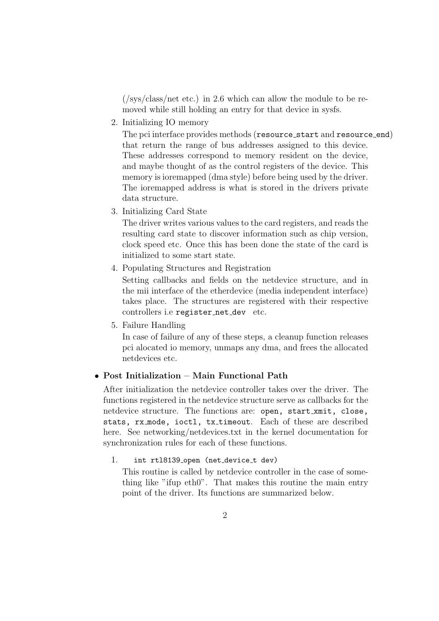(/sys/class/net etc.) in 2.6 which can allow the module to be removed while still holding an entry for that device in sysfs.

2. Initializing IO memory

The pci interface provides methods (resource start and resource end) that return the range of bus addresses assigned to this device. These addresses correspond to memory resident on the device, and maybe thought of as the control registers of the device. This memory is ioremapped (dma style) before being used by the driver. The ioremapped address is what is stored in the drivers private data structure.

3. Initializing Card State

The driver writes various values to the card registers, and reads the resulting card state to discover information such as chip version, clock speed etc. Once this has been done the state of the card is initialized to some start state.

4. Populating Structures and Registration

Setting callbacks and fields on the netdevice structure, and in the mii interface of the etherdevice (media independent interface) takes place. The structures are registered with their respective controllers i.e register net dev etc.

5. Failure Handling

In case of failure of any of these steps, a cleanup function releases pci alocated io memory, unmaps any dma, and frees the allocated netdevices etc.

## • Post Initialization – Main Functional Path

After initialization the netdevice controller takes over the driver. The functions registered in the netdevice structure serve as callbacks for the netdevice structure. The functions are: open, start\_xmit, close, stats, rx\_mode, ioctl, tx\_timeout. Each of these are described here. See networking/netdevices.txt in the kernel documentation for synchronization rules for each of these functions.

#### 1. int rt18139\_open (net\_device\_t dev)

This routine is called by netdevice controller in the case of something like "ifup eth0". That makes this routine the main entry point of the driver. Its functions are summarized below.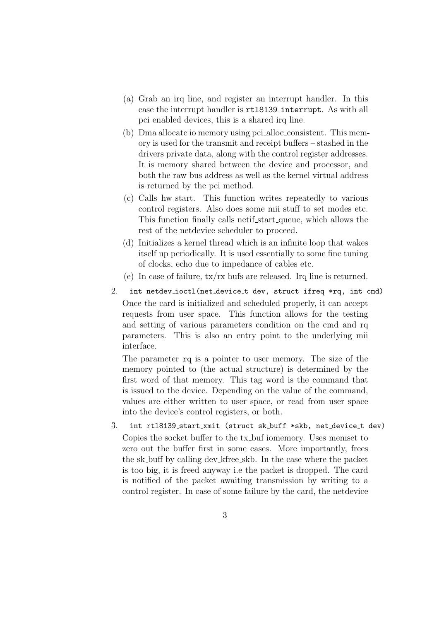- (a) Grab an irq line, and register an interrupt handler. In this case the interrupt handler is rtl8139 interrupt. As with all pci enabled devices, this is a shared irq line.
- (b) Dma allocate io memory using pci alloc consistent. This memory is used for the transmit and receipt buffers – stashed in the drivers private data, along with the control register addresses. It is memory shared between the device and processor, and both the raw bus address as well as the kernel virtual address is returned by the pci method.
- (c) Calls hw start. This function writes repeatedly to various control registers. Also does some mii stuff to set modes etc. This function finally calls netif start queue, which allows the rest of the netdevice scheduler to proceed.
- (d) Initializes a kernel thread which is an infinite loop that wakes itself up periodically. It is used essentially to some fine tuning of clocks, echo due to impedance of cables etc.
- (e) In case of failure,  $tx/rx$  bufs are released. Irq line is returned.
- 2. int netdev\_ioctl(net\_device\_t dev, struct ifreq \*rq, int cmd) Once the card is initialized and scheduled properly, it can accept requests from user space. This function allows for the testing and setting of various parameters condition on the cmd and rq parameters. This is also an entry point to the underlying mii interface.

The parameter rq is a pointer to user memory. The size of the memory pointed to (the actual structure) is determined by the first word of that memory. This tag word is the command that is issued to the device. Depending on the value of the command, values are either written to user space, or read from user space into the device's control registers, or both.

3. int rtl8139 start xmit (struct sk buff \*skb, net device t dev) Copies the socket buffer to the tx buf iomemory. Uses memset to zero out the buffer first in some cases. More importantly, frees the sk buff by calling dev kfree skb. In the case where the packet is too big, it is freed anyway i.e the packet is dropped. The card is notified of the packet awaiting transmission by writing to a control register. In case of some failure by the card, the netdevice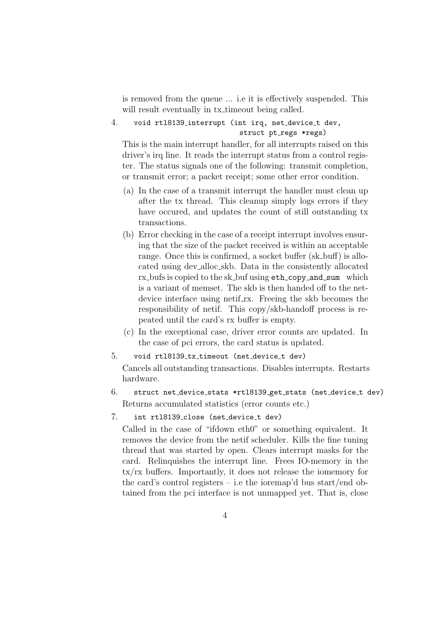is removed from the queue ... i.e it is effectively suspended. This will result eventually in tx\_timeout being called.

4. void rtl8139 interrupt (int irq, net device t dev, struct pt\_regs \*regs)

This is the main interrupt handler, for all interrupts raised on this driver's irq line. It reads the interrupt status from a control register. The status signals one of the following: transmit completion, or transmit error; a packet receipt; some other error condition.

- (a) In the case of a transmit interrupt the handler must clean up after the tx thread. This cleanup simply logs errors if they have occured, and updates the count of still outstanding tx transactions.
- (b) Error checking in the case of a receipt interrupt involves ensuring that the size of the packet received is within an acceptable range. Once this is confirmed, a socket buffer (sk\_buff) is allocated using dev alloc skb. Data in the consistently allocated rx bufs is copied to the sk buf using eth copy and sum which is a variant of memset. The skb is then handed off to the netdevice interface using netif rx. Freeing the skb becomes the responsibility of netif. This copy/skb-handoff process is repeated until the card's rx buffer is empty.
- (c) In the exceptional case, driver error counts are updated. In the case of pci errors, the card status is updated.
- 5. void rtl8139 tx timeout (net device t dev)

Cancels all outstanding transactions. Disables interrupts. Restarts hardware.

- 6. struct net device stats \*rtl8139 get stats (net device t dev) Returns accumulated statistics (error counts etc.)
- 7. int rtl8139 close (net device t dev)

Called in the case of "ifdown eth0" or something equivalent. It removes the device from the netif scheduler. Kills the fine tuning thread that was started by open. Clears interrupt masks for the card. Relinquishes the interrupt line. Frees IO-memory in the tx/rx buffers. Importantly, it does not release the iomemory for the card's control registers – i.e the ioremap'd bus start/end obtained from the pci interface is not unmapped yet. That is, close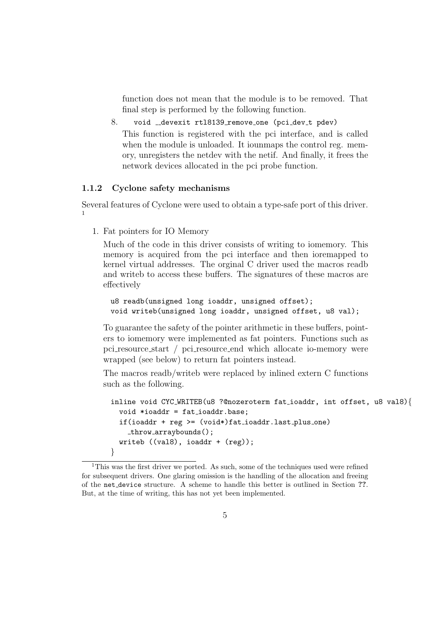function does not mean that the module is to be removed. That final step is performed by the following function.

8. void \_devexit rtl8139\_remove\_one (pci\_dev\_t pdev) This function is registered with the pci interface, and is called when the module is unloaded. It iounterpoons the control reg. memory, unregisters the netdev with the netif. And finally, it frees the network devices allocated in the pci probe function.

#### 1.1.2 Cyclone safety mechanisms

Several features of Cyclone were used to obtain a type-safe port of this driver. 1

1. Fat pointers for IO Memory

Much of the code in this driver consists of writing to iomemory. This memory is acquired from the pci interface and then ioremapped to kernel virtual addresses. The orginal C driver used the macros readb and writeb to access these buffers. The signatures of these macros are effectively

```
u8 readb(unsigned long ioaddr, unsigned offset);
void writeb(unsigned long ioaddr, unsigned offset, u8 val);
```
To guarantee the safety of the pointer arithmetic in these buffers, pointers to iomemory were implemented as fat pointers. Functions such as pci resource start / pci resource end which allocate io-memory were wrapped (see below) to return fat pointers instead.

The macros readb/writeb were replaced by inlined extern C functions such as the following.

```
inline void CYC WRITEB(u8 ?@nozeroterm fat ioaddr, int offset, u8 val8){
 void *ioaddr = fat ioaddr.base;
  if(ioaddr + reg >= (void*) fat\_ioaddrulast_plus\_one)throw arraybounds();
 writeb ((val8), ioaddr + (reg));
}
```
<sup>&</sup>lt;sup>1</sup>This was the first driver we ported. As such, some of the techniques used were refined for subsequent drivers. One glaring omission is the handling of the allocation and freeing of the net device structure. A scheme to handle this better is outlined in Section ??. But, at the time of writing, this has not yet been implemented.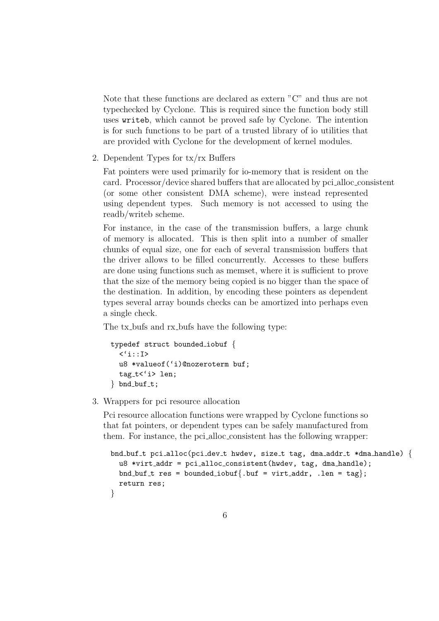Note that these functions are declared as extern "C" and thus are not typechecked by Cyclone. This is required since the function body still uses writeb, which cannot be proved safe by Cyclone. The intention is for such functions to be part of a trusted library of io utilities that are provided with Cyclone for the development of kernel modules.

2. Dependent Types for tx/rx Buffers

Fat pointers were used primarily for io-memory that is resident on the card. Processor/device shared buffers that are allocated by pci alloc consistent (or some other consistent DMA scheme), were instead represented using dependent types. Such memory is not accessed to using the readb/writeb scheme.

For instance, in the case of the transmission buffers, a large chunk of memory is allocated. This is then split into a number of smaller chunks of equal size, one for each of several transmission buffers that the driver allows to be filled concurrently. Accesses to these buffers are done using functions such as memset, where it is sufficient to prove that the size of the memory being copied is no bigger than the space of the destination. In addition, by encoding these pointers as dependent types several array bounds checks can be amortized into perhaps even a single check.

The tx-bufs and rx-bufs have the following type:

```
typedef struct bounded iobuf {
  \langle 'i::I\rangleu8 *valueof('i)@nozeroterm buf;
  tag_t<'i> len;
\} bnd_buf_t;
```
3. Wrappers for pci resource allocation

Pci resource allocation functions were wrapped by Cyclone functions so that fat pointers, or dependent types can be safely manufactured from them. For instance, the pci alloc consistent has the following wrapper:

```
bnd buf t pci alloc(pci dev t hwdev, size t tag, dma addr t *dma handle) \{u8 *virt_addr = pci_alloc_consistent(hwdev, tag, dma_handle);
  bnd_buf_t res = bounded_iobuf{.buf = virt_addr, .len = tag};
  return res;
}
```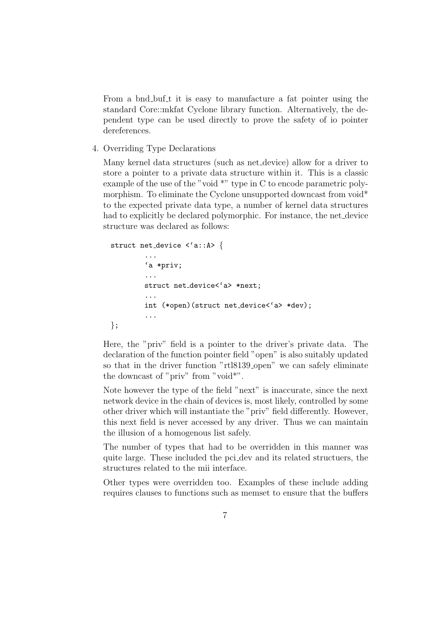From a bnd buf t it is easy to manufacture a fat pointer using the standard Core::mkfat Cyclone library function. Alternatively, the dependent type can be used directly to prove the safety of io pointer dereferences.

4. Overriding Type Declarations

Many kernel data structures (such as net device) allow for a driver to store a pointer to a private data structure within it. This is a classic example of the use of the "void \*" type in C to encode parametric polymorphism. To eliminate the Cyclone unsupported downcast from void<sup>\*</sup> to the expected private data type, a number of kernel data structures had to explicitly be declared polymorphic. For instance, the net device structure was declared as follows:

```
struct net device <'a::A> {
         ...
        'a *priv;
        ...
        struct net_device<'a> *next;
        ...
        int (*open)(struct net device<'a> *dev);
         ...
};
```
Here, the "priv" field is a pointer to the driver's private data. The declaration of the function pointer field "open" is also suitably updated so that in the driver function "rtl8139\_open" we can safely eliminate the downcast of "priv" from "void\*".

Note however the type of the field "next" is inaccurate, since the next network device in the chain of devices is, most likely, controlled by some other driver which will instantiate the "priv" field differently. However, this next field is never accessed by any driver. Thus we can maintain the illusion of a homogenous list safely.

The number of types that had to be overridden in this manner was quite large. These included the pci dev and its related structuers, the structures related to the mii interface.

Other types were overridden too. Examples of these include adding requires clauses to functions such as memset to ensure that the buffers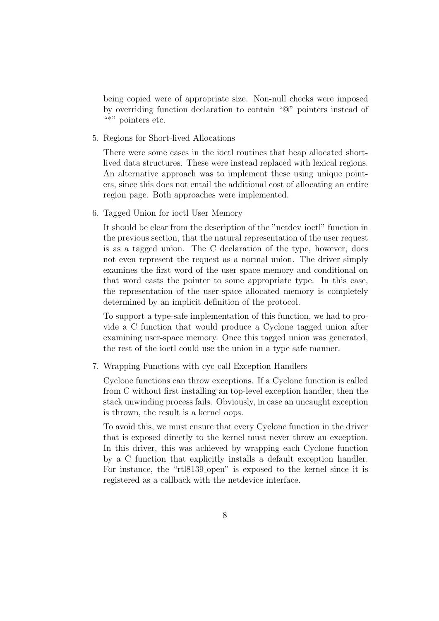being copied were of appropriate size. Non-null checks were imposed by overriding function declaration to contain "@" pointers instead of  $\overset{\cdots}{\bullet}$ " pointers etc.

5. Regions for Short-lived Allocations

There were some cases in the ioctl routines that heap allocated shortlived data structures. These were instead replaced with lexical regions. An alternative approach was to implement these using unique pointers, since this does not entail the additional cost of allocating an entire region page. Both approaches were implemented.

6. Tagged Union for ioctl User Memory

It should be clear from the description of the "netdev ioctl" function in the previous section, that the natural representation of the user request is as a tagged union. The C declaration of the type, however, does not even represent the request as a normal union. The driver simply examines the first word of the user space memory and conditional on that word casts the pointer to some appropriate type. In this case, the representation of the user-space allocated memory is completely determined by an implicit definition of the protocol.

To support a type-safe implementation of this function, we had to provide a C function that would produce a Cyclone tagged union after examining user-space memory. Once this tagged union was generated, the rest of the ioctl could use the union in a type safe manner.

7. Wrapping Functions with cyc call Exception Handlers

Cyclone functions can throw exceptions. If a Cyclone function is called from C without first installing an top-level exception handler, then the stack unwinding process fails. Obviously, in case an uncaught exception is thrown, the result is a kernel oops.

To avoid this, we must ensure that every Cyclone function in the driver that is exposed directly to the kernel must never throw an exception. In this driver, this was achieved by wrapping each Cyclone function by a C function that explicitly installs a default exception handler. For instance, the "rtl8139 open" is exposed to the kernel since it is registered as a callback with the netdevice interface.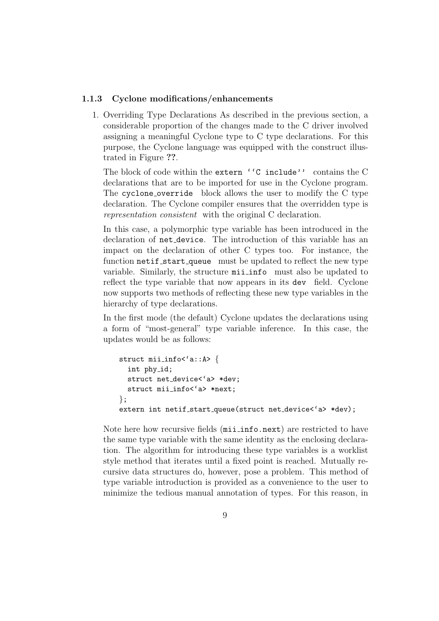#### 1.1.3 Cyclone modifications/enhancements

1. Overriding Type Declarations As described in the previous section, a considerable proportion of the changes made to the C driver involved assigning a meaningful Cyclone type to C type declarations. For this purpose, the Cyclone language was equipped with the construct illustrated in Figure ??.

The block of code within the extern ''C include'' contains the C declarations that are to be imported for use in the Cyclone program. The cyclone override block allows the user to modify the C type declaration. The Cyclone compiler ensures that the overridden type is representation consistent with the original C declaration.

In this case, a polymorphic type variable has been introduced in the declaration of net device. The introduction of this variable has an impact on the declaration of other C types too. For instance, the function netif\_start\_queue must be updated to reflect the new type variable. Similarly, the structure mii info must also be updated to reflect the type variable that now appears in its dev field. Cyclone now supports two methods of reflecting these new type variables in the hierarchy of type declarations.

In the first mode (the default) Cyclone updates the declarations using a form of "most-general" type variable inference. In this case, the updates would be as follows:

```
struct mii_info<'a::A> {
  int phy id;
  struct net device<'a> *dev;
  struct mii_info<'a> *next;
};
extern int netif_start_queue(struct net_device<'a> *dev);
```
Note here how recursive fields (mii info.next) are restricted to have the same type variable with the same identity as the enclosing declaration. The algorithm for introducing these type variables is a worklist style method that iterates until a fixed point is reached. Mutually recursive data structures do, however, pose a problem. This method of type variable introduction is provided as a convenience to the user to minimize the tedious manual annotation of types. For this reason, in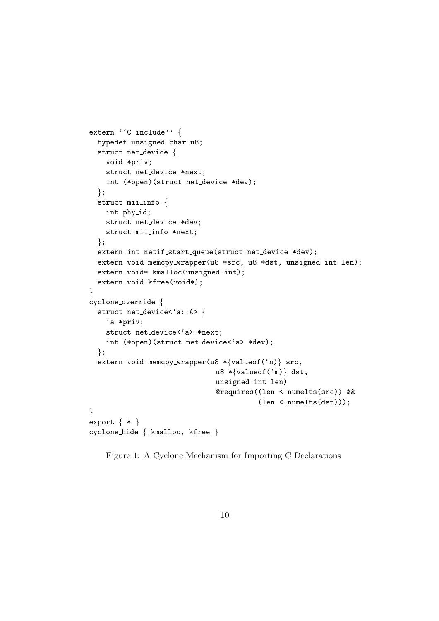```
extern ''C include'' {
 typedef unsigned char u8;
 struct net device {
   void *priv;
   struct net device *next;
   int (*open)(struct net device *dev);
 };
 struct mii info {
   int phy_id;
   struct net device *dev;
   struct mii_info *next;
  };
 extern int netif_start_queue(struct net_device *dev);
 extern void memcpy_wrapper(u8 *src, u8 *dst, unsigned int len);
 extern void* kmalloc(unsigned int);
 extern void kfree(void*);
}
cyclone override {
 struct net_device<'a::A> {
    'a *priv;
   struct net_device<'a> *next;
   int (*open)(struct net device<'a> *dev);
 };
 extern void memcpy_wrapper(u8 \ast{valueof('n)} src,
                               u8 *{valueof('m)} dst,
                               unsigned int len)
                               @requires((len < numelts(src)) &&
                                         (len < numbermath>(dst));
}
export \{ * \}cyclone hide { kmalloc, kfree }
```
Figure 1: A Cyclone Mechanism for Importing C Declarations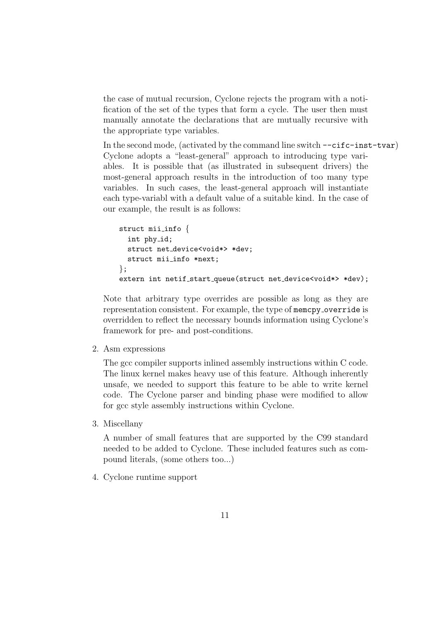the case of mutual recursion, Cyclone rejects the program with a notification of the set of the types that form a cycle. The user then must manually annotate the declarations that are mutually recursive with the appropriate type variables.

In the second mode, (activated by the command line switch  $--c$ **ifc-inst-tvar**) Cyclone adopts a "least-general" approach to introducing type variables. It is possible that (as illustrated in subsequent drivers) the most-general approach results in the introduction of too many type variables. In such cases, the least-general approach will instantiate each type-variabl with a default value of a suitable kind. In the case of our example, the result is as follows:

```
struct mii info {
  int phy id;
  struct net device<void*> *dev;
  struct mii_info *next;
};
extern int netif_start_queue(struct net_device<void*> *dev);
```
Note that arbitrary type overrides are possible as long as they are representation consistent. For example, the type of memcpy override is overridden to reflect the necessary bounds information using Cyclone's framework for pre- and post-conditions.

2. Asm expressions

The gcc compiler supports inlined assembly instructions within C code. The linux kernel makes heavy use of this feature. Although inherently unsafe, we needed to support this feature to be able to write kernel code. The Cyclone parser and binding phase were modified to allow for gcc style assembly instructions within Cyclone.

3. Miscellany

A number of small features that are supported by the C99 standard needed to be added to Cyclone. These included features such as compound literals, (some others too...)

4. Cyclone runtime support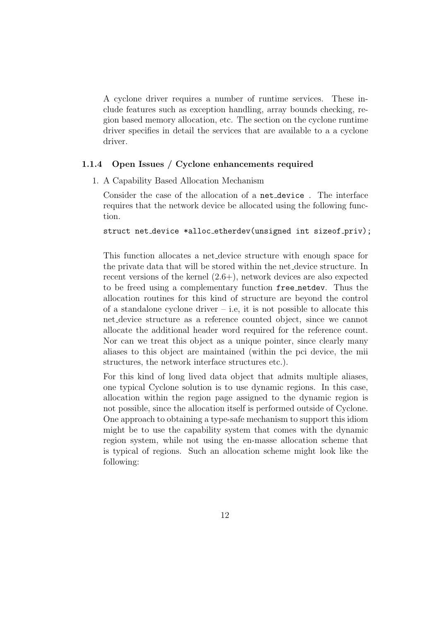A cyclone driver requires a number of runtime services. These include features such as exception handling, array bounds checking, region based memory allocation, etc. The section on the cyclone runtime driver specifies in detail the services that are available to a a cyclone driver.

#### 1.1.4 Open Issues / Cyclone enhancements required

1. A Capability Based Allocation Mechanism

Consider the case of the allocation of a net device . The interface requires that the network device be allocated using the following function.

struct net\_device \*alloc\_etherdev(unsigned int sizeof\_priv);

This function allocates a net device structure with enough space for the private data that will be stored within the net device structure. In recent versions of the kernel (2.6+), network devices are also expected to be freed using a complementary function free netdev. Thus the allocation routines for this kind of structure are beyond the control of a standalone cyclone driver  $-$  i.e, it is not possible to allocate this net device structure as a reference counted object, since we cannot allocate the additional header word required for the reference count. Nor can we treat this object as a unique pointer, since clearly many aliases to this object are maintained (within the pci device, the mii structures, the network interface structures etc.).

For this kind of long lived data object that admits multiple aliases, one typical Cyclone solution is to use dynamic regions. In this case, allocation within the region page assigned to the dynamic region is not possible, since the allocation itself is performed outside of Cyclone. One approach to obtaining a type-safe mechanism to support this idiom might be to use the capability system that comes with the dynamic region system, while not using the en-masse allocation scheme that is typical of regions. Such an allocation scheme might look like the following: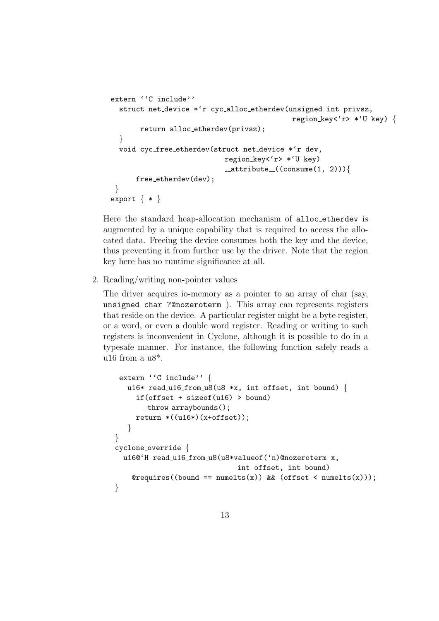```
extern ''C include''
  struct net device *'r cyc alloc etherdev(unsigned int privsz,
                                            region_key<'r> *'U key) {
       return alloc etherdev(privsz);
  }
  void cyc free etherdev(struct net device *'r dev,
                            region key<'r> *'U key)
                            -attribute-((consume(1, 2))){
      free_etherdev(dev);
 }
export \{ * \}
```
Here the standard heap-allocation mechanism of alloc etherdev is augmented by a unique capability that is required to access the allocated data. Freeing the device consumes both the key and the device, thus preventing it from further use by the driver. Note that the region key here has no runtime significance at all.

2. Reading/writing non-pointer values

The driver acquires io-memory as a pointer to an array of char (say, unsigned char ?@nozeroterm ). This array can represents registers that reside on the device. A particular register might be a byte register, or a word, or even a double word register. Reading or writing to such registers is inconvenient in Cyclone, although it is possible to do in a typesafe manner. For instance, the following function safely reads a u16 from a  $u8^*$ .

```
extern ''C include'' {
   u16* read_u16_from_u8(u8 *x, int offset, int bound) {
     if(offset + sizeof(u16) > bound)
       throw arraybounds();
     return *((u16*)(x+offset));}
}
cyclone override {
  u16@'H read_u16_from_u8(u8*valueof('n)@nozeroterm x,
                              int offset, int bound)
    @requires((bound == numbers(x)) &@ (offset < numbers(x)));}
```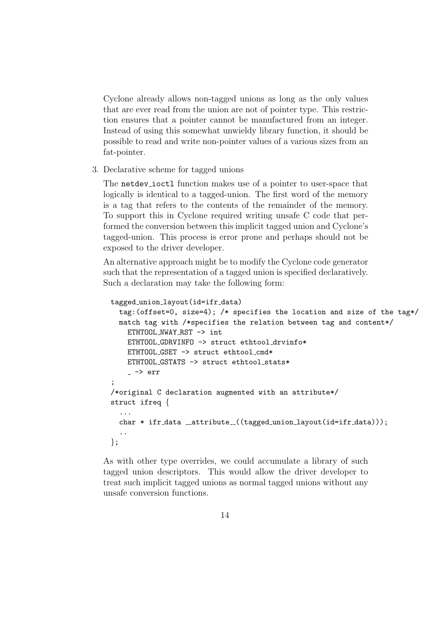Cyclone already allows non-tagged unions as long as the only values that are ever read from the union are not of pointer type. This restriction ensures that a pointer cannot be manufactured from an integer. Instead of using this somewhat unwieldy library function, it should be possible to read and write non-pointer values of a various sizes from an fat-pointer.

3. Declarative scheme for tagged unions

The netdev ioctl function makes use of a pointer to user-space that logically is identical to a tagged-union. The first word of the memory is a tag that refers to the contents of the remainder of the memory. To support this in Cyclone required writing unsafe C code that performed the conversion between this implicit tagged union and Cyclone's tagged-union. This process is error prone and perhaps should not be exposed to the driver developer.

An alternative approach might be to modify the Cyclone code generator such that the representation of a tagged union is specified declaratively. Such a declaration may take the following form:

```
tagged union layout(id=ifr data)
  tag:(offset=0, size=4); /* specifies the location and size of the tag*/
  match tag with /*specifies the relation between tag and content*/
    ETHTOOL NWAY RST -> int
    ETHTOOL GDRVINFO -> struct ethtool drvinfo*
    ETHTOOL_GSET -> struct ethtool_cmd*
    ETHTOOL GSTATS -> struct ethtool stats*
    \sim -> err;
/*original C declaration augmented with an attribute*/
struct ifreq {
  ...
  char * ifr_data __attribute_((tagged_union_layout(id=ifr_data)));
  ..
};
```
As with other type overrides, we could accumulate a library of such tagged union descriptors. This would allow the driver developer to treat such implicit tagged unions as normal tagged unions without any unsafe conversion functions.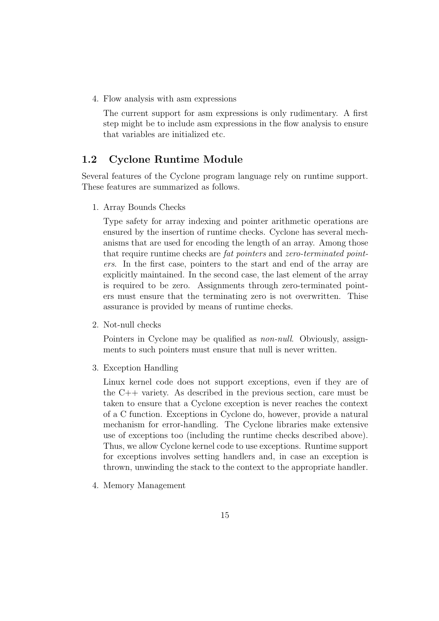4. Flow analysis with asm expressions

The current support for asm expressions is only rudimentary. A first step might be to include asm expressions in the flow analysis to ensure that variables are initialized etc.

# 1.2 Cyclone Runtime Module

Several features of the Cyclone program language rely on runtime support. These features are summarized as follows.

1. Array Bounds Checks

Type safety for array indexing and pointer arithmetic operations are ensured by the insertion of runtime checks. Cyclone has several mechanisms that are used for encoding the length of an array. Among those that require runtime checks are fat pointers and zero-terminated pointers. In the first case, pointers to the start and end of the array are explicitly maintained. In the second case, the last element of the array is required to be zero. Assignments through zero-terminated pointers must ensure that the terminating zero is not overwritten. Thise assurance is provided by means of runtime checks.

2. Not-null checks

Pointers in Cyclone may be qualified as non-null. Obviously, assignments to such pointers must ensure that null is never written.

3. Exception Handling

Linux kernel code does not support exceptions, even if they are of the C++ variety. As described in the previous section, care must be taken to ensure that a Cyclone exception is never reaches the context of a C function. Exceptions in Cyclone do, however, provide a natural mechanism for error-handling. The Cyclone libraries make extensive use of exceptions too (including the runtime checks described above). Thus, we allow Cyclone kernel code to use exceptions. Runtime support for exceptions involves setting handlers and, in case an exception is thrown, unwinding the stack to the context to the appropriate handler.

4. Memory Management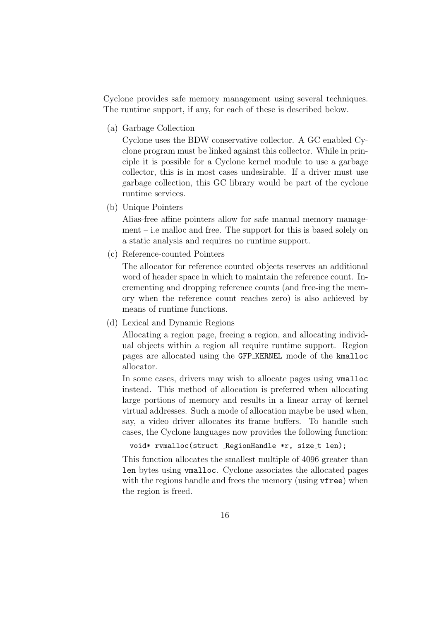Cyclone provides safe memory management using several techniques. The runtime support, if any, for each of these is described below.

(a) Garbage Collection

Cyclone uses the BDW conservative collector. A GC enabled Cyclone program must be linked against this collector. While in principle it is possible for a Cyclone kernel module to use a garbage collector, this is in most cases undesirable. If a driver must use garbage collection, this GC library would be part of the cyclone runtime services.

(b) Unique Pointers

Alias-free affine pointers allow for safe manual memory management – i.e malloc and free. The support for this is based solely on a static analysis and requires no runtime support.

(c) Reference-counted Pointers

The allocator for reference counted objects reserves an additional word of header space in which to maintain the reference count. Incrementing and dropping reference counts (and free-ing the memory when the reference count reaches zero) is also achieved by means of runtime functions.

(d) Lexical and Dynamic Regions

Allocating a region page, freeing a region, and allocating individual objects within a region all require runtime support. Region pages are allocated using the GFP KERNEL mode of the kmalloc allocator.

In some cases, drivers may wish to allocate pages using vmalloc instead. This method of allocation is preferred when allocating large portions of memory and results in a linear array of kernel virtual addresses. Such a mode of allocation maybe be used when, say, a video driver allocates its frame buffers. To handle such cases, the Cyclone languages now provides the following function:

```
void* rvmalloc(struct _RegionHandle *r, size_t len);
```
This function allocates the smallest multiple of 4096 greater than len bytes using vmalloc. Cyclone associates the allocated pages with the regions handle and frees the memory (using  $v$ free) when the region is freed.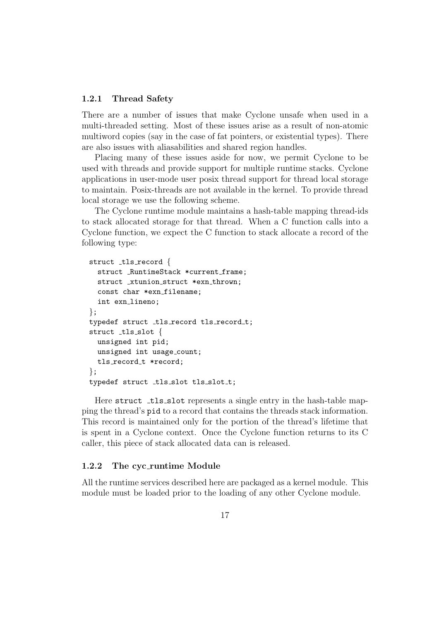#### 1.2.1 Thread Safety

There are a number of issues that make Cyclone unsafe when used in a multi-threaded setting. Most of these issues arise as a result of non-atomic multiword copies (say in the case of fat pointers, or existential types). There are also issues with aliasabilities and shared region handles.

Placing many of these issues aside for now, we permit Cyclone to be used with threads and provide support for multiple runtime stacks. Cyclone applications in user-mode user posix thread support for thread local storage to maintain. Posix-threads are not available in the kernel. To provide thread local storage we use the following scheme.

The Cyclone runtime module maintains a hash-table mapping thread-ids to stack allocated storage for that thread. When a C function calls into a Cyclone function, we expect the C function to stack allocate a record of the following type:

```
struct _tls_record {
 struct _RuntimeStack *current_frame;
 struct _xtunion_struct *exn_thrown;
 const char *exn_filename;
  int exn_lineno;
};
typedef struct _tls_record tls_record_t;
struct _tls slot {
 unsigned int pid;
 unsigned int usage_count;
 tls_record_t *record;
};
typedef struct _tls_slot tls_slot_t;
```
Here struct tls slot represents a single entry in the hash-table mapping the thread's pid to a record that contains the threads stack information. This record is maintained only for the portion of the thread's lifetime that is spent in a Cyclone context. Once the Cyclone function returns to its C caller, this piece of stack allocated data can is released.

#### 1.2.2 The cyc runtime Module

All the runtime services described here are packaged as a kernel module. This module must be loaded prior to the loading of any other Cyclone module.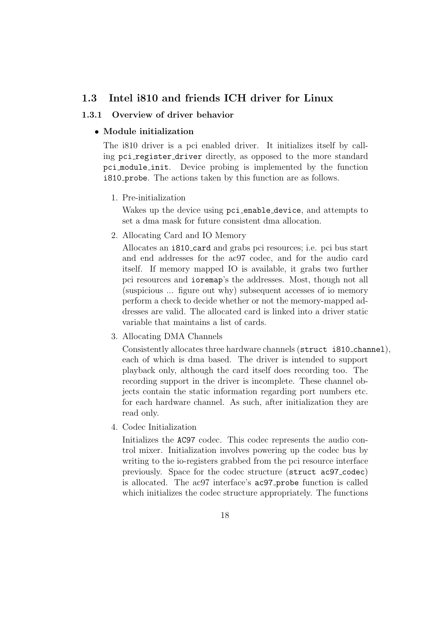# 1.3 Intel i810 and friends ICH driver for Linux

#### 1.3.1 Overview of driver behavior

#### • Module initialization

The i810 driver is a pci enabled driver. It initializes itself by calling pci register driver directly, as opposed to the more standard pci module init. Device probing is implemented by the function i810 probe. The actions taken by this function are as follows.

1. Pre-initialization

Wakes up the device using pci enable device, and attempts to set a dma mask for future consistent dma allocation.

2. Allocating Card and IO Memory

Allocates an i810 card and grabs pci resources; i.e. pci bus start and end addresses for the ac97 codec, and for the audio card itself. If memory mapped IO is available, it grabs two further pci resources and ioremap's the addresses. Most, though not all (suspicious ... figure out why) subsequent accesses of io memory perform a check to decide whether or not the memory-mapped addresses are valid. The allocated card is linked into a driver static variable that maintains a list of cards.

3. Allocating DMA Channels

Consistently allocates three hardware channels (struct i810 channel), each of which is dma based. The driver is intended to support playback only, although the card itself does recording too. The recording support in the driver is incomplete. These channel objects contain the static information regarding port numbers etc. for each hardware channel. As such, after initialization they are read only.

4. Codec Initialization

Initializes the AC97 codec. This codec represents the audio control mixer. Initialization involves powering up the codec bus by writing to the io-registers grabbed from the pci resource interface previously. Space for the codec structure (struct ac97\_codec) is allocated. The ac97 interface's ac97 probe function is called which initializes the codec structure appropriately. The functions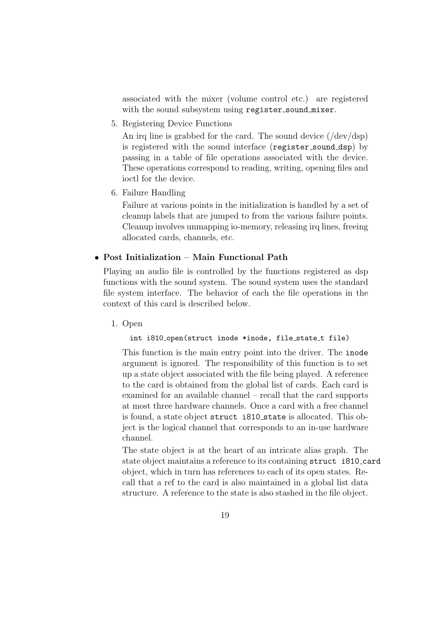associated with the mixer (volume control etc.) are registered with the sound subsystem using register\_sound\_mixer.

5. Registering Device Functions

An irq line is grabbed for the card. The sound device  $//dev/dsp)$ is registered with the sound interface (register sound dsp) by passing in a table of file operations associated with the device. These operations correspond to reading, writing, opening files and ioctl for the device.

6. Failure Handling

Failure at various points in the initialization is handled by a set of cleanup labels that are jumped to from the various failure points. Cleanup involves unmapping io-memory, releasing irq lines, freeing allocated cards, channels, etc.

#### • Post Initialization – Main Functional Path

Playing an audio file is controlled by the functions registered as dsp functions with the sound system. The sound system uses the standard file system interface. The behavior of each the file operations in the context of this card is described below.

1. Open

int i810\_open(struct inode \*inode, file\_state\_t file)

This function is the main entry point into the driver. The inode argument is ignored. The responsibility of this function is to set up a state object associated with the file being played. A reference to the card is obtained from the global list of cards. Each card is examined for an available channel – recall that the card supports at most three hardware channels. Once a card with a free channel is found, a state object struct i810 state is allocated. This object is the logical channel that corresponds to an in-use hardware channel.

The state object is at the heart of an intricate alias graph. The state object maintains a reference to its containing struct i810 card object, which in turn has references to each of its open states. Recall that a ref to the card is also maintained in a global list data structure. A reference to the state is also stashed in the file object.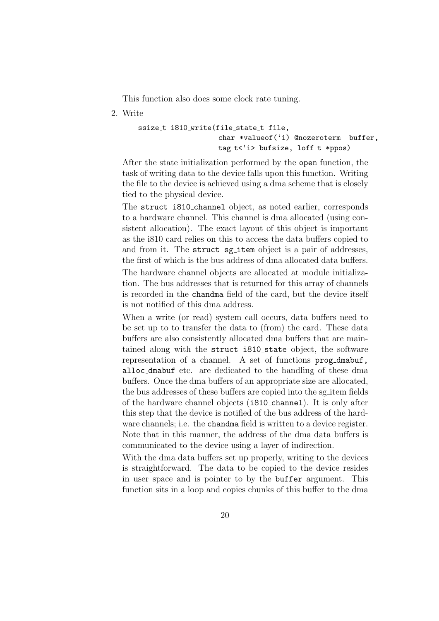This function also does some clock rate tuning.

2. Write

```
ssize_t i810_write(file_state_t file,
                   char *valueof('i) @nozeroterm buffer,
                   tag_t<'i> bufsize, loff_t *ppos)
```
After the state initialization performed by the open function, the task of writing data to the device falls upon this function. Writing the file to the device is achieved using a dma scheme that is closely tied to the physical device.

The struct i810 channel object, as noted earlier, corresponds to a hardware channel. This channel is dma allocated (using consistent allocation). The exact layout of this object is important as the i810 card relies on this to access the data buffers copied to and from it. The struct sg\_item object is a pair of addresses, the first of which is the bus address of dma allocated data buffers. The hardware channel objects are allocated at module initialization. The bus addresses that is returned for this array of channels is recorded in the chandma field of the card, but the device itself is not notified of this dma address.

When a write (or read) system call occurs, data buffers need to be set up to to transfer the data to (from) the card. These data buffers are also consistently allocated dma buffers that are maintained along with the struct i810 state object, the software representation of a channel. A set of functions prog dmabuf, alloc dmabuf etc. are dedicated to the handling of these dma buffers. Once the dma buffers of an appropriate size are allocated, the bus addresses of these buffers are copied into the sg item fields of the hardware channel objects (i810 channel). It is only after this step that the device is notified of the bus address of the hardware channels; i.e. the chandma field is written to a device register. Note that in this manner, the address of the dma data buffers is communicated to the device using a layer of indirection.

With the dma data buffers set up properly, writing to the devices is straightforward. The data to be copied to the device resides in user space and is pointer to by the buffer argument. This function sits in a loop and copies chunks of this buffer to the dma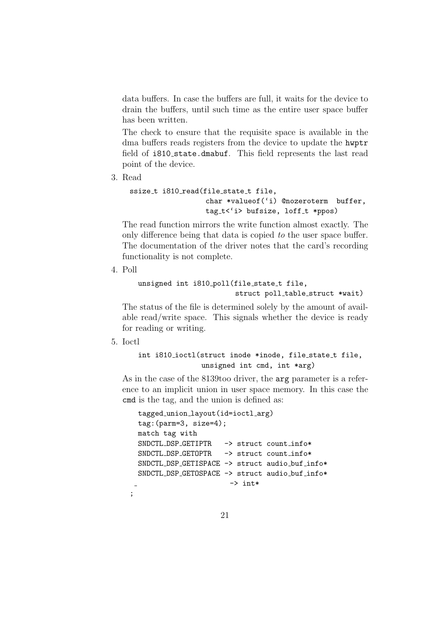data buffers. In case the buffers are full, it waits for the device to drain the buffers, until such time as the entire user space buffer has been written.

The check to ensure that the requisite space is available in the dma buffers reads registers from the device to update the hwptr field of i810 state.dmabuf. This field represents the last read point of the device.

3. Read

```
ssize_t i810_read(file_state_t file,
                  char *valueof('i) @nozeroterm buffer,
                  tag_t<'i> bufsize, loff_t *ppos)
```
The read function mirrors the write function almost exactly. The only difference being that data is copied to the user space buffer. The documentation of the driver notes that the card's recording functionality is not complete.

4. Poll

```
unsigned int i810_poll(file_state_t file,
                        struct poll_table_struct *wait)
```
The status of the file is determined solely by the amount of available read/write space. This signals whether the device is ready for reading or writing.

5. Ioctl

;

```
int i810_ioctl(struct inode *inode, file_state_t file,
               unsigned int cmd, int *arg)
```
As in the case of the 8139too driver, the arg parameter is a reference to an implicit union in user space memory. In this case the cmd is the tag, and the union is defined as:

```
tagged union layout(id=ioctl arg)
tag:(parm=3, size=4);
match tag with
SNDCTL_DSP_GETIPTR -> struct count_info*
SNDCTL_DSP_GETOPTR -> struct count_info*
SNDCTL_DSP_GETISPACE -> struct audio_buf_info*
SNDCTL_DSP_GETOSPACE -> struct audio_buf_info*
                      \rightarrow int*
```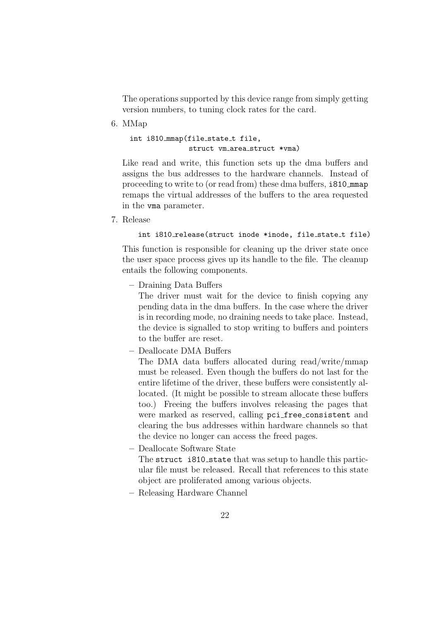The operations supported by this device range from simply getting version numbers, to tuning clock rates for the card.

6. MMap

int i810\_mmap(file\_state\_t file, struct vm\_area\_struct \*vma)

Like read and write, this function sets up the dma buffers and assigns the bus addresses to the hardware channels. Instead of proceeding to write to (or read from) these dma buffers, i810 mmap remaps the virtual addresses of the buffers to the area requested in the vma parameter.

7. Release

```
int i810_release(struct inode *inode, file_state_t file)
```
This function is responsible for cleaning up the driver state once the user space process gives up its handle to the file. The cleanup entails the following components.

– Draining Data Buffers

The driver must wait for the device to finish copying any pending data in the dma buffers. In the case where the driver is in recording mode, no draining needs to take place. Instead, the device is signalled to stop writing to buffers and pointers to the buffer are reset.

– Deallocate DMA Buffers

The DMA data buffers allocated during read/write/mmap must be released. Even though the buffers do not last for the entire lifetime of the driver, these buffers were consistently allocated. (It might be possible to stream allocate these buffers too.) Freeing the buffers involves releasing the pages that were marked as reserved, calling pci free consistent and clearing the bus addresses within hardware channels so that the device no longer can access the freed pages.

– Deallocate Software State

The struct i810\_state that was setup to handle this particular file must be released. Recall that references to this state object are proliferated among various objects.

– Releasing Hardware Channel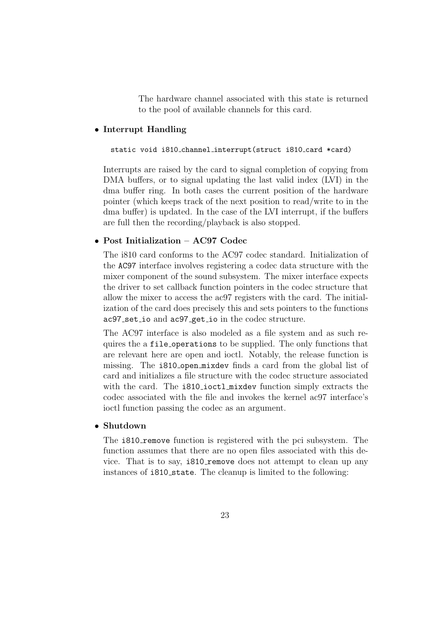The hardware channel associated with this state is returned to the pool of available channels for this card.

#### • Interrupt Handling

#### static void i810 channel interrupt(struct i810 card \*card)

Interrupts are raised by the card to signal completion of copying from DMA buffers, or to signal updating the last valid index (LVI) in the dma buffer ring. In both cases the current position of the hardware pointer (which keeps track of the next position to read/write to in the dma buffer) is updated. In the case of the LVI interrupt, if the buffers are full then the recording/playback is also stopped.

#### • Post Initialization – AC97 Codec

The i810 card conforms to the AC97 codec standard. Initialization of the AC97 interface involves registering a codec data structure with the mixer component of the sound subsystem. The mixer interface expects the driver to set callback function pointers in the codec structure that allow the mixer to access the ac97 registers with the card. The initialization of the card does precisely this and sets pointers to the functions ac97 set io and ac97 get io in the codec structure.

The AC97 interface is also modeled as a file system and as such requires the a file operations to be supplied. The only functions that are relevant here are open and ioctl. Notably, the release function is missing. The i810 open mixdev finds a card from the global list of card and initializes a file structure with the codec structure associated with the card. The i810\_ioctl\_mixdev function simply extracts the codec associated with the file and invokes the kernel ac97 interface's ioctl function passing the codec as an argument.

#### • Shutdown

The **1810** remove function is registered with the pci subsystem. The function assumes that there are no open files associated with this device. That is to say, i810\_remove does not attempt to clean up any instances of i810 state. The cleanup is limited to the following: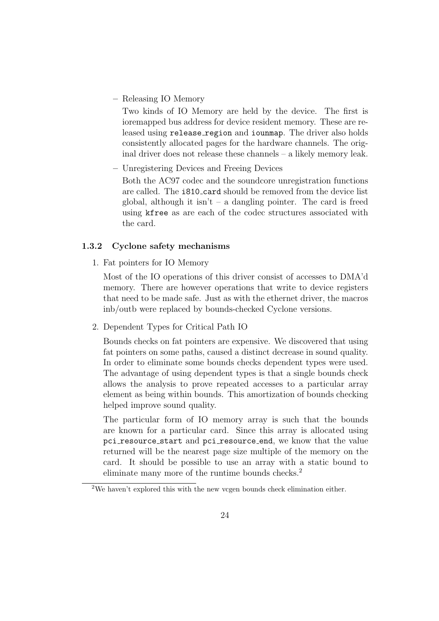– Releasing IO Memory

Two kinds of IO Memory are held by the device. The first is ioremapped bus address for device resident memory. These are released using release region and iounmap. The driver also holds consistently allocated pages for the hardware channels. The original driver does not release these channels – a likely memory leak.

– Unregistering Devices and Freeing Devices

Both the AC97 codec and the soundcore unregistration functions are called. The i810 card should be removed from the device list global, although it isn't – a dangling pointer. The card is freed using kfree as are each of the codec structures associated with the card.

#### 1.3.2 Cyclone safety mechanisms

1. Fat pointers for IO Memory

Most of the IO operations of this driver consist of accesses to DMA'd memory. There are however operations that write to device registers that need to be made safe. Just as with the ethernet driver, the macros inb/outb were replaced by bounds-checked Cyclone versions.

2. Dependent Types for Critical Path IO

Bounds checks on fat pointers are expensive. We discovered that using fat pointers on some paths, caused a distinct decrease in sound quality. In order to eliminate some bounds checks dependent types were used. The advantage of using dependent types is that a single bounds check allows the analysis to prove repeated accesses to a particular array element as being within bounds. This amortization of bounds checking helped improve sound quality.

The particular form of IO memory array is such that the bounds are known for a particular card. Since this array is allocated using pci resource start and pci resource end, we know that the value returned will be the nearest page size multiple of the memory on the card. It should be possible to use an array with a static bound to eliminate many more of the runtime bounds checks.<sup>2</sup>

<sup>2</sup>We haven't explored this with the new vcgen bounds check elimination either.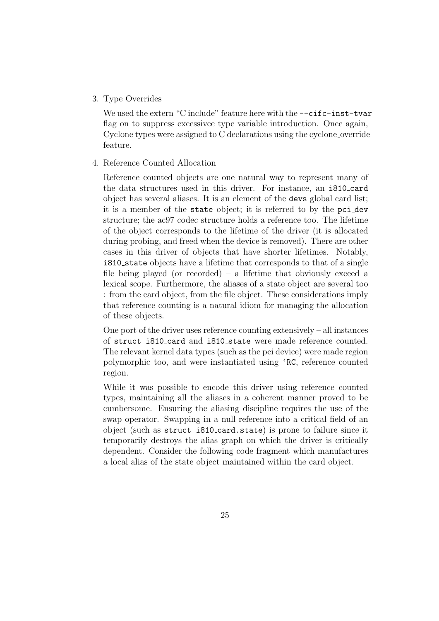#### 3. Type Overrides

We used the extern "C include" feature here with the  $--c$ **ifc-inst-tvar** flag on to suppress excessivce type variable introduction. Once again, Cyclone types were assigned to C declarations using the cyclone override feature.

#### 4. Reference Counted Allocation

Reference counted objects are one natural way to represent many of the data structures used in this driver. For instance, an i810 card object has several aliases. It is an element of the devs global card list; it is a member of the state object; it is referred to by the pci dev structure; the ac97 codec structure holds a reference too. The lifetime of the object corresponds to the lifetime of the driver (it is allocated during probing, and freed when the device is removed). There are other cases in this driver of objects that have shorter lifetimes. Notably, i810 state objects have a lifetime that corresponds to that of a single file being played (or recorded) – a lifetime that obviously exceed a lexical scope. Furthermore, the aliases of a state object are several too : from the card object, from the file object. These considerations imply that reference counting is a natural idiom for managing the allocation of these objects.

One port of the driver uses reference counting extensively – all instances of struct i810 card and i810 state were made reference counted. The relevant kernel data types (such as the pci device) were made region polymorphic too, and were instantiated using 'RC, reference counted region.

While it was possible to encode this driver using reference counted types, maintaining all the aliases in a coherent manner proved to be cumbersome. Ensuring the aliasing discipline requires the use of the swap operator. Swapping in a null reference into a critical field of an object (such as struct i810 card.state) is prone to failure since it temporarily destroys the alias graph on which the driver is critically dependent. Consider the following code fragment which manufactures a local alias of the state object maintained within the card object.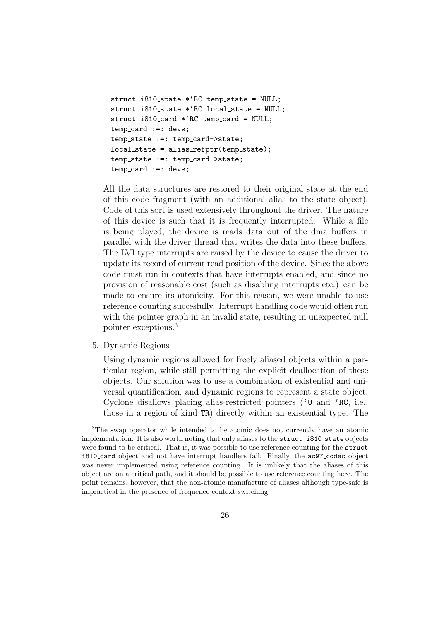```
struct i810_state *'RC temp_state = NULL;
struct i810_state *(RC local_state = NULL;
struct i810_card *(RC temp_card = NULL;
temp_card :=: devs;
temp_state :=: temp_card->state;
local\_state = alias\_refptr(temp\_state);temp_state :=: temp_card->state;
temp_card :=: devs;
```
All the data structures are restored to their original state at the end of this code fragment (with an additional alias to the state object). Code of this sort is used extensively throughout the driver. The nature of this device is such that it is frequently interrupted. While a file is being played, the device is reads data out of the dma buffers in parallel with the driver thread that writes the data into these buffers. The LVI type interrupts are raised by the device to cause the driver to update its record of current read position of the device. Since the above code must run in contexts that have interrupts enabled, and since no provision of reasonable cost (such as disabling interrupts etc.) can be made to ensure its atomicity. For this reason, we were unable to use reference counting succesfully. Interrupt handling code would often run with the pointer graph in an invalid state, resulting in unexpected null pointer exceptions.<sup>3</sup>

5. Dynamic Regions

Using dynamic regions allowed for freely aliased objects within a particular region, while still permitting the explicit deallocation of these objects. Our solution was to use a combination of existential and universal quantification, and dynamic regions to represent a state object. Cyclone disallows placing alias-restricted pointers ('U and 'RC, i.e., those in a region of kind TR) directly within an existential type. The

<sup>3</sup>The swap operator while intended to be atomic does not currently have an atomic implementation. It is also worth noting that only aliases to the struct i810\_state objects were found to be critical. That is, it was possible to use reference counting for the struct i810 card object and not have interrupt handlers fail. Finally, the ac97 codec object was never implemented using reference counting. It is unlikely that the aliases of this object are on a critical path, and it should be possible to use reference counting here. The point remains, however, that the non-atomic manufacture of aliases although type-safe is impractical in the presence of frequence context switching.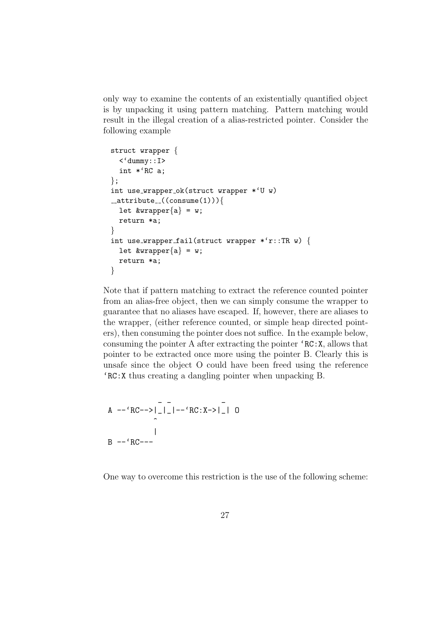only way to examine the contents of an existentially quantified object is by unpacking it using pattern matching. Pattern matching would result in the illegal creation of a alias-restricted pointer. Consider the following example

```
struct wrapper {
  \langle 'dummy::I\rangleint *'RC a;
};
int use_wrapper_ok(struct wrapper *(U, W)_{-}attribute_{-}((\text{cosume}(1)))let &wrapper{a} = w;return *a;
}
int use wrapper fail(struct wrapper *'r::TR w) {
  let &wrapper{a} = w;
  return *a;
}
```
Note that if pattern matching to extract the reference counted pointer from an alias-free object, then we can simply consume the wrapper to guarantee that no aliases have escaped. If, however, there are aliases to the wrapper, (either reference counted, or simple heap directed pointers), then consuming the pointer does not suffice. In the example below, consuming the pointer A after extracting the pointer 'RC:X, allows that pointer to be extracted once more using the pointer B. Clearly this is unsafe since the object O could have been freed using the reference 'RC:X thus creating a dangling pointer when unpacking B.

A 
$$
\leftarrow
$$
 'RC-->|-|-  
\n $\leftarrow$  RC:X->|-| 0  
\n|  
\nB  $\leftarrow$  'RC---

One way to overcome this restriction is the use of the following scheme: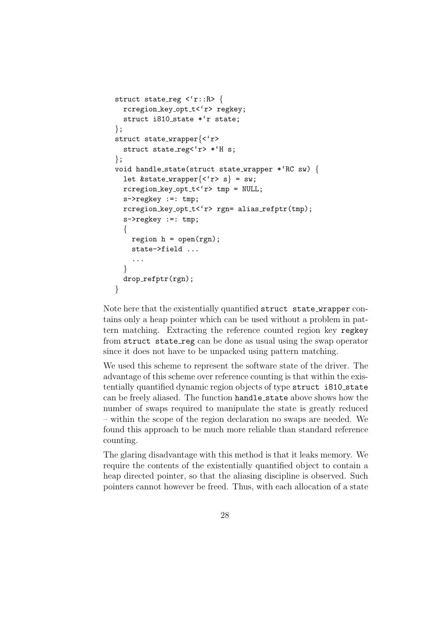```
struct state_reg \langle 'r::R> {
  rcregion key opt t<'r> regkey;
  struct i810_state *'r state;
};
struct state wrapper{<'r>
  struct state_reg<'r> *'H s;
};
void handle state(struct state wrapper *'RC sw) {
  let &state_wrapper\{\langle f \rangle \} = sw;
  rcregion\_key\_opt\_t < 'r tmp = NULL;
  s->regkey :=: tmp;
  rcregion key opt t<'r> rgn= alias refptr(tmp);
  s->regkey :=: tmp;
  \{region h = open(rgn);
    state->field ...
    ...
  }
  drop refptr(rgn);
}
```
Note here that the existentially quantified struct state wrapper contains only a heap pointer which can be used without a problem in pattern matching. Extracting the reference counted region key regkey from struct state reg can be done as usual using the swap operator since it does not have to be unpacked using pattern matching.

We used this scheme to represent the software state of the driver. The advantage of this scheme over reference counting is that within the existentially quantified dynamic region objects of type struct i810\_state can be freely aliased. The function handle state above shows how the number of swaps required to manipulate the state is greatly reduced – within the scope of the region declaration no swaps are needed. We found this approach to be much more reliable than standard reference counting.

The glaring disadvantage with this method is that it leaks memory. We require the contents of the existentially quantified object to contain a heap directed pointer, so that the aliasing discipline is observed. Such pointers cannot however be freed. Thus, with each allocation of a state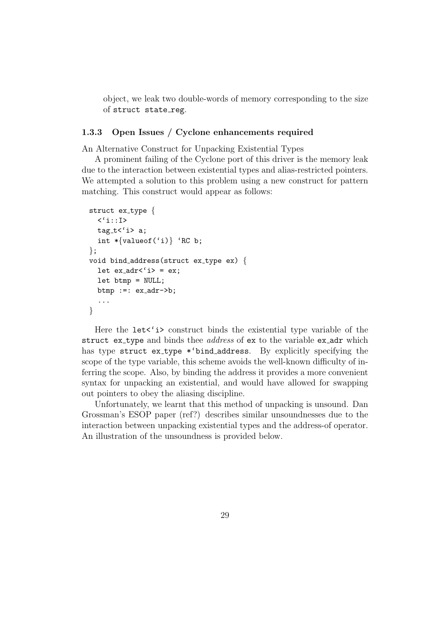object, we leak two double-words of memory corresponding to the size of struct state reg.

#### 1.3.3 Open Issues / Cyclone enhancements required

An Alternative Construct for Unpacking Existential Types

A prominent failing of the Cyclone port of this driver is the memory leak due to the interaction between existential types and alias-restricted pointers. We attempted a solution to this problem using a new construct for pattern matching. This construct would appear as follows:

```
struct ex_type \{\langle 'i::I\rangle\text{tag}_t < 'i> a;
  int *\{valueof('i)\} 'RC b;
};
void bind address (struct ex type ex) {
  let ex\_adr{'}i> = ex;let btmp = NULL;
  btmp :=: ex_adr->b;
  ...
}
```
Here the lets'is construct binds the existential type variable of the struct ex\_type and binds thee *address* of ex to the variable ex\_adr which has type struct ex\_type \*'bind\_address. By explicitly specifying the scope of the type variable, this scheme avoids the well-known difficulty of inferring the scope. Also, by binding the address it provides a more convenient syntax for unpacking an existential, and would have allowed for swapping out pointers to obey the aliasing discipline.

Unfortunately, we learnt that this method of unpacking is unsound. Dan Grossman's ESOP paper (ref?) describes similar unsoundnesses due to the interaction between unpacking existential types and the address-of operator. An illustration of the unsoundness is provided below.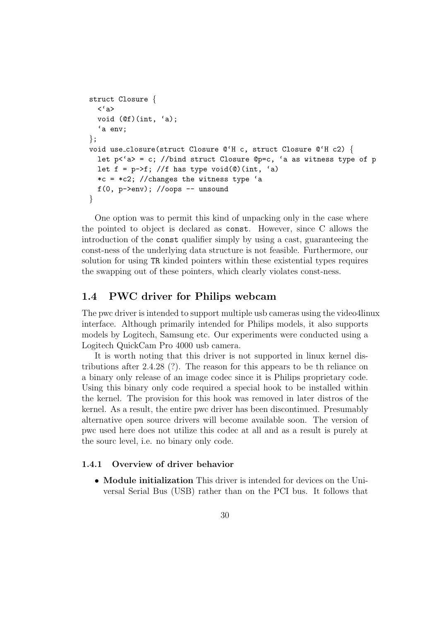```
struct Closure {
 <'a>
 void (@f)(int, 'a);
  'a env;
};
void use closure(struct Closure @'H c, struct Closure @'H c2) {
  let p \leq a = c; //bind struct Closure Qp = c, 'a as witness type of p
 let f = p \rightarrow f; //f has type void(0)(int, 'a)
 *c = *c2; //changes the witness type 'a
 f(0, p->env); //oops -- unsound
}
```
One option was to permit this kind of unpacking only in the case where the pointed to object is declared as const. However, since C allows the introduction of the const qualifier simply by using a cast, guaranteeing the const-ness of the underlying data structure is not feasible. Furthermore, our solution for using TR kinded pointers within these existential types requires the swapping out of these pointers, which clearly violates const-ness.

# 1.4 PWC driver for Philips webcam

The pwc driver is intended to support multiple usb cameras using the video4linux interface. Although primarily intended for Philips models, it also supports models by Logitech, Samsung etc. Our experiments were conducted using a Logitech QuickCam Pro 4000 usb camera.

It is worth noting that this driver is not supported in linux kernel distributions after 2.4.28 (?). The reason for this appears to be th reliance on a binary only release of an image codec since it is Philips proprietary code. Using this binary only code required a special hook to be installed within the kernel. The provision for this hook was removed in later distros of the kernel. As a result, the entire pwc driver has been discontinued. Presumably alternative open source drivers will become available soon. The version of pwc used here does not utilize this codec at all and as a result is purely at the sourc level, i.e. no binary only code.

#### 1.4.1 Overview of driver behavior

• Module initialization This driver is intended for devices on the Universal Serial Bus (USB) rather than on the PCI bus. It follows that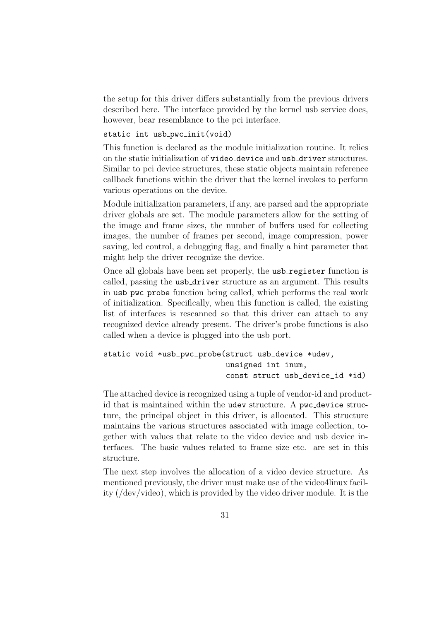the setup for this driver differs substantially from the previous drivers described here. The interface provided by the kernel usb service does, however, bear resemblance to the pci interface.

#### static int usb\_pwc\_init(void)

This function is declared as the module initialization routine. It relies on the static initialization of video device and usb driver structures. Similar to pci device structures, these static objects maintain reference callback functions within the driver that the kernel invokes to perform various operations on the device.

Module initialization parameters, if any, are parsed and the appropriate driver globals are set. The module parameters allow for the setting of the image and frame sizes, the number of buffers used for collecting images, the number of frames per second, image compression, power saving, led control, a debugging flag, and finally a hint parameter that might help the driver recognize the device.

Once all globals have been set properly, the usb register function is called, passing the usb\_driver structure as an argument. This results in usb pwc probe function being called, which performs the real work of initialization. Specifically, when this function is called, the existing list of interfaces is rescanned so that this driver can attach to any recognized device already present. The driver's probe functions is also called when a device is plugged into the usb port.

```
static void *usb_pwc_probe(struct usb_device *udev,
                           unsigned int inum,
                           const struct usb_device_id *id)
```
The attached device is recognized using a tuple of vendor-id and productid that is maintained within the udev structure. A pwc\_device structure, the principal object in this driver, is allocated. This structure maintains the various structures associated with image collection, together with values that relate to the video device and usb device interfaces. The basic values related to frame size etc. are set in this structure.

The next step involves the allocation of a video device structure. As mentioned previously, the driver must make use of the video4linux facility (/dev/video), which is provided by the video driver module. It is the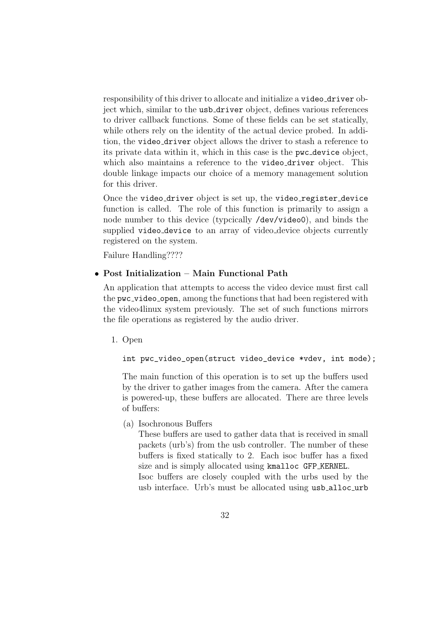responsibility of this driver to allocate and initialize a video-driver object which, similar to the usb driver object, defines various references to driver callback functions. Some of these fields can be set statically, while others rely on the identity of the actual device probed. In addition, the video driver object allows the driver to stash a reference to its private data within it, which in this case is the pwc device object, which also maintains a reference to the video-driver object. This double linkage impacts our choice of a memory management solution for this driver.

Once the video driver object is set up, the video register device function is called. The role of this function is primarily to assign a node number to this device (typcically /dev/video0), and binds the supplied video\_device to an array of video\_device objects currently registered on the system.

Failure Handling????

## • Post Initialization – Main Functional Path

An application that attempts to access the video device must first call the pwc video open, among the functions that had been registered with the video4linux system previously. The set of such functions mirrors the file operations as registered by the audio driver.

1. Open

int pwc\_video\_open(struct video\_device \*vdev, int mode);

The main function of this operation is to set up the buffers used by the driver to gather images from the camera. After the camera is powered-up, these buffers are allocated. There are three levels of buffers:

(a) Isochronous Buffers

These buffers are used to gather data that is received in small packets (urb's) from the usb controller. The number of these buffers is fixed statically to 2. Each isoc buffer has a fixed size and is simply allocated using kmalloc GFP KERNEL.

Isoc buffers are closely coupled with the urbs used by the usb interface. Urb's must be allocated using usb\_alloc\_urb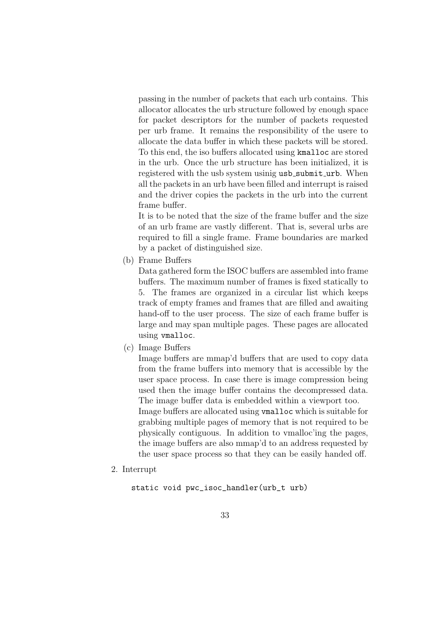passing in the number of packets that each urb contains. This allocator allocates the urb structure followed by enough space for packet descriptors for the number of packets requested per urb frame. It remains the responsibility of the usere to allocate the data buffer in which these packets will be stored. To this end, the iso buffers allocated using kmalloc are stored in the urb. Once the urb structure has been initialized, it is registered with the usb system usinig usb\_submit\_urb. When all the packets in an urb have been filled and interrupt is raised and the driver copies the packets in the urb into the current frame buffer.

It is to be noted that the size of the frame buffer and the size of an urb frame are vastly different. That is, several urbs are required to fill a single frame. Frame boundaries are marked by a packet of distinguished size.

(b) Frame Buffers

Data gathered form the ISOC buffers are assembled into frame buffers. The maximum number of frames is fixed statically to 5. The frames are organized in a circular list which keeps track of empty frames and frames that are filled and awaiting hand-off to the user process. The size of each frame buffer is large and may span multiple pages. These pages are allocated using vmalloc.

(c) Image Buffers

Image buffers are mmap'd buffers that are used to copy data from the frame buffers into memory that is accessible by the user space process. In case there is image compression being used then the image buffer contains the decompressed data. The image buffer data is embedded within a viewport too. Image buffers are allocated using vmalloc which is suitable for grabbing multiple pages of memory that is not required to be physically contiguous. In addition to vmalloc'ing the pages, the image buffers are also mmap'd to an address requested by the user space process so that they can be easily handed off.

2. Interrupt

```
static void pwc_isoc_handler(urb_t urb)
```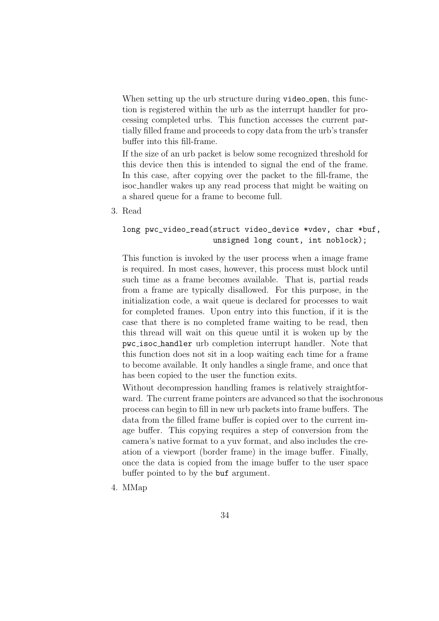When setting up the urb structure during video open, this function is registered within the urb as the interrupt handler for processing completed urbs. This function accesses the current partially filled frame and proceeds to copy data from the urb's transfer buffer into this fill-frame.

If the size of an urb packet is below some recognized threshold for this device then this is intended to signal the end of the frame. In this case, after copying over the packet to the fill-frame, the isoc handler wakes up any read process that might be waiting on a shared queue for a frame to become full.

3. Read

### long pwc\_video\_read(struct video\_device \*vdev, char \*buf, unsigned long count, int noblock);

This function is invoked by the user process when a image frame is required. In most cases, however, this process must block until such time as a frame becomes available. That is, partial reads from a frame are typically disallowed. For this purpose, in the initialization code, a wait queue is declared for processes to wait for completed frames. Upon entry into this function, if it is the case that there is no completed frame waiting to be read, then this thread will wait on this queue until it is woken up by the pwc isoc handler urb completion interrupt handler. Note that this function does not sit in a loop waiting each time for a frame to become available. It only handles a single frame, and once that has been copied to the user the function exits.

Without decompression handling frames is relatively straightforward. The current frame pointers are advanced so that the isochronous process can begin to fill in new urb packets into frame buffers. The data from the filled frame buffer is copied over to the current image buffer. This copying requires a step of conversion from the camera's native format to a yuv format, and also includes the creation of a viewport (border frame) in the image buffer. Finally, once the data is copied from the image buffer to the user space buffer pointed to by the buf argument.

4. MMap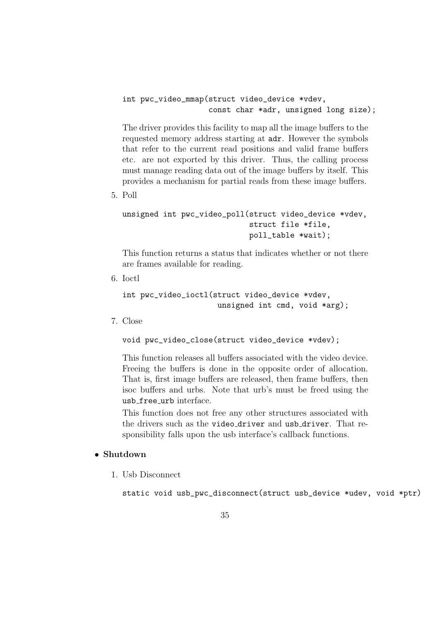```
int pwc_video_mmap(struct video_device *vdev,
                   const char *adr, unsigned long size);
```
The driver provides this facility to map all the image buffers to the requested memory address starting at adr. However the symbols that refer to the current read positions and valid frame buffers etc. are not exported by this driver. Thus, the calling process must manage reading data out of the image buffers by itself. This provides a mechanism for partial reads from these image buffers.

5. Poll

```
unsigned int pwc_video_poll(struct video_device *vdev,
                            struct file *file,
                            poll_table *wait);
```
This function returns a status that indicates whether or not there are frames available for reading.

6. Ioctl

```
int pwc_video_ioctl(struct video_device *vdev,
                     unsigned int cmd, void *arg);
```
7. Close

void pwc\_video\_close(struct video\_device \*vdev);

This function releases all buffers associated with the video device. Freeing the buffers is done in the opposite order of allocation. That is, first image buffers are released, then frame buffers, then isoc buffers and urbs. Note that urb's must be freed using the usb free urb interface.

This function does not free any other structures associated with the drivers such as the video driver and usb driver. That responsibility falls upon the usb interface's callback functions.

# • Shutdown

1. Usb Disconnect

static void usb\_pwc\_disconnect(struct usb\_device \*udev, void \*ptr)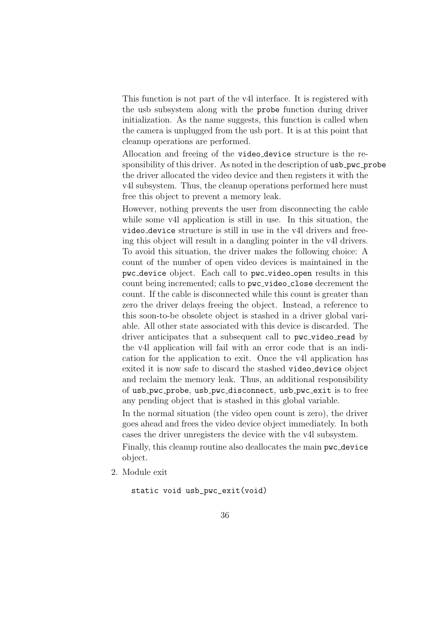This function is not part of the v4l interface. It is registered with the usb subsystem along with the probe function during driver initialization. As the name suggests, this function is called when the camera is unplugged from the usb port. It is at this point that cleanup operations are performed.

Allocation and freeing of the video device structure is the responsibility of this driver. As noted in the description of usb\_pwc\_probe the driver allocated the video device and then registers it with the v4l subsystem. Thus, the cleanup operations performed here must free this object to prevent a memory leak.

However, nothing prevents the user from disconnecting the cable while some v4l application is still in use. In this situation, the video device structure is still in use in the v4l drivers and freeing this object will result in a dangling pointer in the v4l drivers. To avoid this situation, the driver makes the following choice: A count of the number of open video devices is maintained in the pwc device object. Each call to pwc video open results in this count being incremented; calls to pwc\_video\_close decrement the count. If the cable is disconnected while this count is greater than zero the driver delays freeing the object. Instead, a reference to this soon-to-be obsolete object is stashed in a driver global variable. All other state associated with this device is discarded. The driver anticipates that a subsequent call to pwc\_video\_read by the v4l application will fail with an error code that is an indication for the application to exit. Once the v4l application has exited it is now safe to discard the stashed video device object and reclaim the memory leak. Thus, an additional responsibility of usb pwc probe, usb pwc disconnect, usb pwc exit is to free any pending object that is stashed in this global variable.

In the normal situation (the video open count is zero), the driver goes ahead and frees the video device object immediately. In both cases the driver unregisters the device with the v4l subsystem.

Finally, this cleanup routine also deallocates the main pwc\_device object.

2. Module exit

static void usb\_pwc\_exit(void)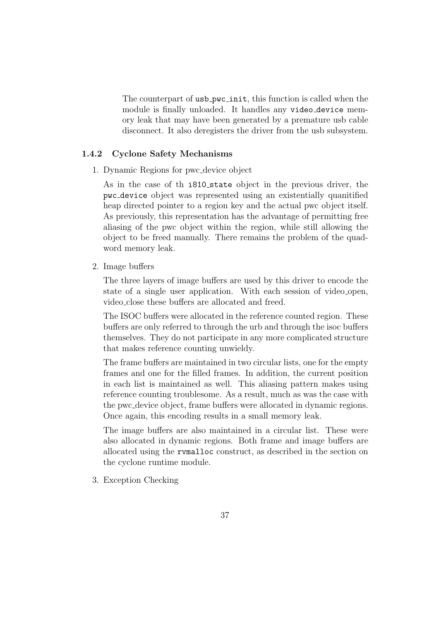The counterpart of usb <u>pwc</u> init, this function is called when the module is finally unloaded. It handles any video\_device memory leak that may have been generated by a premature usb cable disconnect. It also deregisters the driver from the usb subsystem.

#### 1.4.2 Cyclone Safety Mechanisms

1. Dynamic Regions for pwc device object

As in the case of th i810 state object in the previous driver, the pwc device object was represented using an existentially quanitified heap directed pointer to a region key and the actual pwc object itself. As previously, this representation has the advantage of permitting free aliasing of the pwc object within the region, while still allowing the object to be freed manually. There remains the problem of the quadword memory leak.

2. Image buffers

The three layers of image buffers are used by this driver to encode the state of a single user application. With each session of video open, video close these buffers are allocated and freed.

The ISOC buffers were allocated in the reference counted region. These buffers are only referred to through the urb and through the isoc buffers themselves. They do not participate in any more complicated structure that makes reference counting unwieldy.

The frame buffers are maintained in two circular lists, one for the empty frames and one for the filled frames. In addition, the current position in each list is maintained as well. This aliasing pattern makes using reference counting troublesome. As a result, much as was the case with the pwc device object, frame buffers were allocated in dynamic regions. Once again, this encoding results in a small memory leak.

The image buffers are also maintained in a circular list. These were also allocated in dynamic regions. Both frame and image buffers are allocated using the rvmalloc construct, as described in the section on the cyclone runtime module.

3. Exception Checking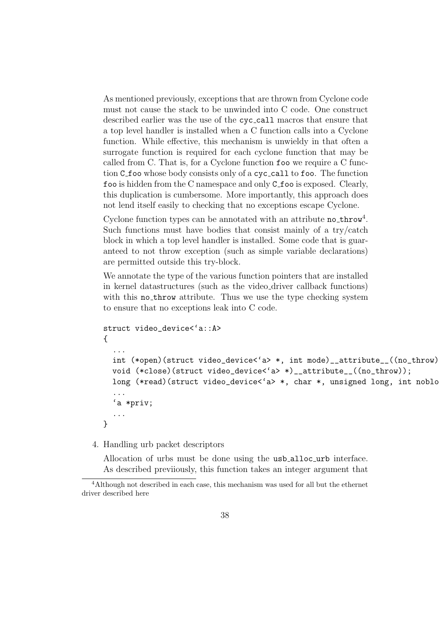As mentioned previously, exceptions that are thrown from Cyclone code must not cause the stack to be unwinded into C code. One construct described earlier was the use of the cyc call macros that ensure that a top level handler is installed when a C function calls into a Cyclone function. While effective, this mechanism is unwieldy in that often a surrogate function is required for each cyclone function that may be called from C. That is, for a Cyclone function foo we require a C function C\_foo whose body consists only of a cyc\_call to foo. The function foo is hidden from the C namespace and only C foo is exposed. Clearly, this duplication is cumbersome. More importantly, this approach does not lend itself easily to checking that no exceptions escape Cyclone.

Cyclone function types can be annotated with an attribute  $no\_throw<sup>4</sup>$ . Such functions must have bodies that consist mainly of a try/catch block in which a top level handler is installed. Some code that is guaranteed to not throw exception (such as simple variable declarations) are permitted outside this try-block.

We annotate the type of the various function pointers that are installed in kernel datastructures (such as the video driver callback functions) with this no\_throw attribute. Thus we use the type checking system to ensure that no exceptions leak into C code.

```
struct video_device<'a::A>
{
  ...
  int (*open)(struct video_device<'a> *, int mode)__attribute__((no_throw));
  void (*close)(struct video_device<'a> *)__attribute__((no_throw));
  long (*read)(struct video_device<'a> *, char *, unsigned long, int noblo
  ...
  'a *priv;
  ...
}
```
4. Handling urb packet descriptors

Allocation of urbs must be done using the usb alloc urb interface. As described previiously, this function takes an integer argument that

<sup>&</sup>lt;sup>4</sup>Although not described in each case, this mechanism was used for all but the ethernet driver described here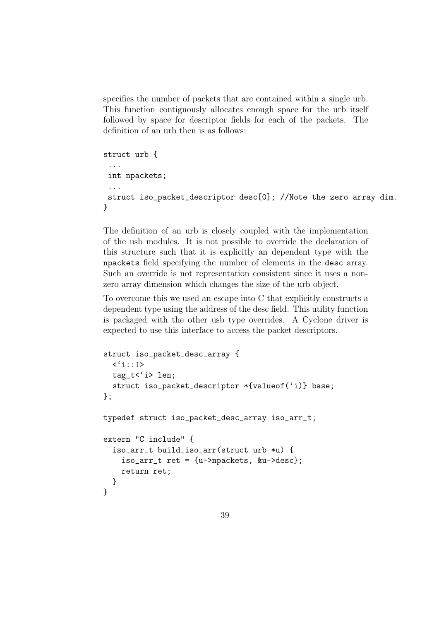specifies the number of packets that are contained within a single urb. This function contiguously allocates enough space for the urb itself followed by space for descriptor fields for each of the packets. The definition of an urb then is as follows:

```
struct urb {
 ...
 int npackets;
 ...
 struct iso_packet_descriptor desc[0]; //Note the zero array dim.
}
```
The definition of an urb is closely coupled with the implementation of the usb modules. It is not possible to override the declaration of this structure such that it is explicitly an dependent type with the npackets field specifying the number of elements in the desc array. Such an override is not representation consistent since it uses a nonzero array dimension which changes the size of the urb object.

To overcome this we used an escape into C that explicitly constructs a dependent type using the address of the desc field. This utility function is packaged with the other usb type overrides. A Cyclone driver is expected to use this interface to access the packet descriptors.

```
struct iso_packet_desc_array {
  \langle 'i:I\rangletag_t<'i> len;
  struct iso_packet_descriptor *{valueof('i)} base;
};
typedef struct iso_packet_desc_array iso_arr_t;
extern "C include" {
  iso_arr_t build_iso_arr(struct urb *u) {
    iso_arr_t ret = \{u->npackets, &u->desc};
    return ret;
  }
}
```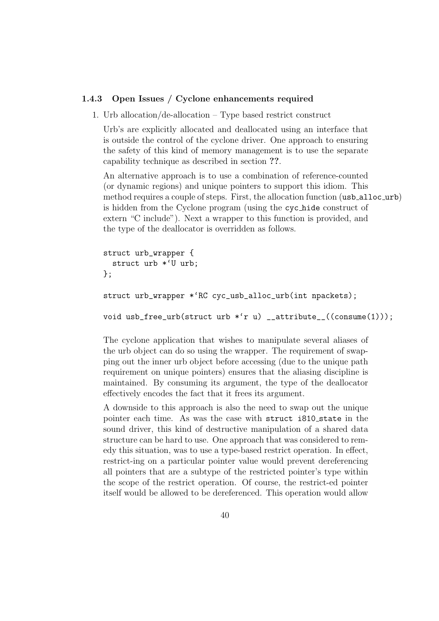#### 1.4.3 Open Issues / Cyclone enhancements required

1. Urb allocation/de-allocation – Type based restrict construct

Urb's are explicitly allocated and deallocated using an interface that is outside the control of the cyclone driver. One approach to ensuring the safety of this kind of memory management is to use the separate capability technique as described in section ??.

An alternative approach is to use a combination of reference-counted (or dynamic regions) and unique pointers to support this idiom. This method requires a couple of steps. First, the allocation function (usb\_alloc\_urb) is hidden from the Cyclone program (using the cyc hide construct of extern "C include"). Next a wrapper to this function is provided, and the type of the deallocator is overridden as follows.

```
struct urb_wrapper {
  struct urb *'U urb;
};
```

```
struct urb_wrapper *'RC cyc_usb_alloc_urb(int npackets);
```
void usb\_free\_urb(struct urb \*'r u) \_\_attribute\_\_((consume(1)));

The cyclone application that wishes to manipulate several aliases of the urb object can do so using the wrapper. The requirement of swapping out the inner urb object before accessing (due to the unique path requirement on unique pointers) ensures that the aliasing discipline is maintained. By consuming its argument, the type of the deallocator effectively encodes the fact that it frees its argument.

A downside to this approach is also the need to swap out the unique pointer each time. As was the case with struct i810\_state in the sound driver, this kind of destructive manipulation of a shared data structure can be hard to use. One approach that was considered to remedy this situation, was to use a type-based restrict operation. In effect, restrict-ing on a particular pointer value would prevent dereferencing all pointers that are a subtype of the restricted pointer's type within the scope of the restrict operation. Of course, the restrict-ed pointer itself would be allowed to be dereferenced. This operation would allow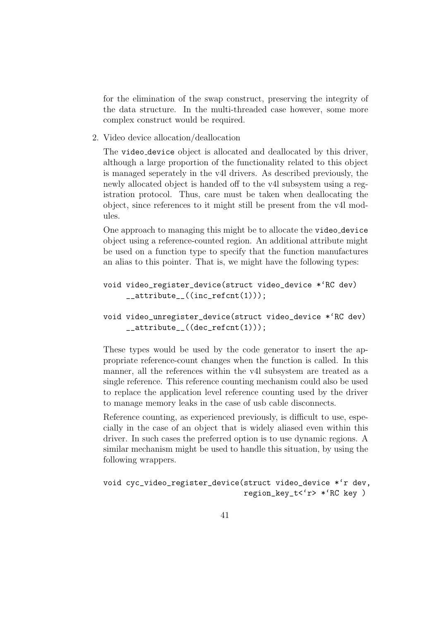for the elimination of the swap construct, preserving the integrity of the data structure. In the multi-threaded case however, some more complex construct would be required.

2. Video device allocation/deallocation

The video device object is allocated and deallocated by this driver, although a large proportion of the functionality related to this object is managed seperately in the v4l drivers. As described previously, the newly allocated object is handed off to the v4l subsystem using a registration protocol. Thus, care must be taken when deallocating the object, since references to it might still be present from the v4l modules.

One approach to managing this might be to allocate the video device object using a reference-counted region. An additional attribute might be used on a function type to specify that the function manufactures an alias to this pointer. That is, we might have the following types:

```
void video_register_device(struct video_device *'RC dev)
     __attribute__((inc_refcnt(1)));
```

```
void video_unregister_device(struct video_device *'RC dev)
     __attribute__((dec_refcnt(1)));
```
These types would be used by the code generator to insert the appropriate reference-count changes when the function is called. In this manner, all the references within the v4l subsystem are treated as a single reference. This reference counting mechanism could also be used to replace the application level reference counting used by the driver to manage memory leaks in the case of usb cable disconnects.

Reference counting, as experienced previously, is difficult to use, especially in the case of an object that is widely aliased even within this driver. In such cases the preferred option is to use dynamic regions. A similar mechanism might be used to handle this situation, by using the following wrappers.

```
void cyc_video_register_device(struct video_device *'r dev,
                               region_key_t<'r> *'RC key )
```